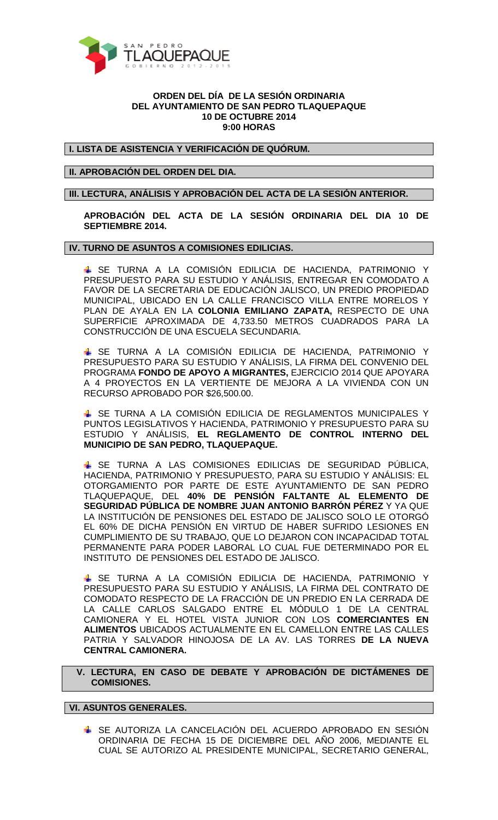

#### **ORDEN DEL DÍA DE LA SESIÓN ORDINARIA DEL AYUNTAMIENTO DE SAN PEDRO TLAQUEPAQUE 10 DE OCTUBRE 2014 9:00 HORAS**

**I. LISTA DE ASISTENCIA Y VERIFICACIÓN DE QUÓRUM.** 

# **II. APROBACIÓN DEL ORDEN DEL DIA.**

## **III. LECTURA, ANÁLISIS Y APROBACIÓN DEL ACTA DE LA SESIÓN ANTERIOR.**

**APROBACIÓN DEL ACTA DE LA SESIÓN ORDINARIA DEL DIA 10 DE SEPTIEMBRE 2014.** 

### **IV. TURNO DE ASUNTOS A COMISIONES EDILICIAS.**

 SE TURNA A LA COMISIÓN EDILICIA DE HACIENDA, PATRIMONIO Y PRESUPUESTO PARA SU ESTUDIO Y ANÁLISIS, ENTREGAR EN COMODATO A FAVOR DE LA SECRETARIA DE EDUCACIÓN JALISCO, UN PREDIO PROPIEDAD MUNICIPAL, UBICADO EN LA CALLE FRANCISCO VILLA ENTRE MORELOS Y PLAN DE AYALA EN LA **COLONIA EMILIANO ZAPATA,** RESPECTO DE UNA SUPERFICIE APROXIMADA DE 4,733.50 METROS CUADRADOS PARA LA CONSTRUCCIÓN DE UNA ESCUELA SECUNDARIA.

 SE TURNA A LA COMISIÓN EDILICIA DE HACIENDA, PATRIMONIO Y PRESUPUESTO PARA SU ESTUDIO Y ANÁLISIS, LA FIRMA DEL CONVENIO DEL PROGRAMA **FONDO DE APOYO A MIGRANTES,** EJERCICIO 2014 QUE APOYARA A 4 PROYECTOS EN LA VERTIENTE DE MEJORA A LA VIVIENDA CON UN RECURSO APROBADO POR \$26,500.00.

**SE TURNA A LA COMISIÓN EDILICIA DE REGLAMENTOS MUNICIPALES Y** PUNTOS LEGISLATIVOS Y HACIENDA, PATRIMONIO Y PRESUPUESTO PARA SU ESTUDIO Y ANÁLISIS, **EL REGLAMENTO DE CONTROL INTERNO DEL MUNICIPIO DE SAN PEDRO, TLAQUEPAQUE.** 

 SE TURNA A LAS COMISIONES EDILICIAS DE SEGURIDAD PÚBLICA, HACIENDA, PATRIMONIO Y PRESUPUESTO, PARA SU ESTUDIO Y ANÁLISIS: EL OTORGAMIENTO POR PARTE DE ESTE AYUNTAMIENTO DE SAN PEDRO TLAQUEPAQUE, DEL **40% DE PENSIÓN FALTANTE AL ELEMENTO DE SEGURIDAD PÚBLICA DE NOMBRE JUAN ANTONIO BARRÓN PÉREZ** Y YA QUE LA INSTITUCIÓN DE PENSIONES DEL ESTADO DE JALISCO SOLO LE OTORGÓ EL 60% DE DICHA PENSIÓN EN VIRTUD DE HABER SUFRIDO LESIONES EN CUMPLIMIENTO DE SU TRABAJO, QUE LO DEJARON CON INCAPACIDAD TOTAL PERMANENTE PARA PODER LABORAL LO CUAL FUE DETERMINADO POR EL INSTITUTO DE PENSIONES DEL ESTADO DE JALISCO.

 SE TURNA A LA COMISIÓN EDILICIA DE HACIENDA, PATRIMONIO Y PRESUPUESTO PARA SU ESTUDIO Y ANÁLISIS, LA FIRMA DEL CONTRATO DE COMODATO RESPECTO DE LA FRACCIÓN DE UN PREDIO EN LA CERRADA DE LA CALLE CARLOS SALGADO ENTRE EL MÓDULO 1 DE LA CENTRAL CAMIONERA Y EL HOTEL VISTA JUNIOR CON LOS **COMERCIANTES EN ALIMENTOS** UBICADOS ACTUALMENTE EN EL CAMELLON ENTRE LAS CALLES PATRIA Y SALVADOR HINOJOSA DE LA AV. LAS TORRES **DE LA NUEVA CENTRAL CAMIONERA.** 

## **V. LECTURA, EN CASO DE DEBATE Y APROBACIÓN DE DICTÁMENES DE COMISIONES.**

# **VI. ASUNTOS GENERALES.**

 SE AUTORIZA LA CANCELACIÓN DEL ACUERDO APROBADO EN SESIÓN ORDINARIA DE FECHA 15 DE DICIEMBRE DEL AÑO 2006, MEDIANTE EL CUAL SE AUTORIZO AL PRESIDENTE MUNICIPAL, SECRETARIO GENERAL,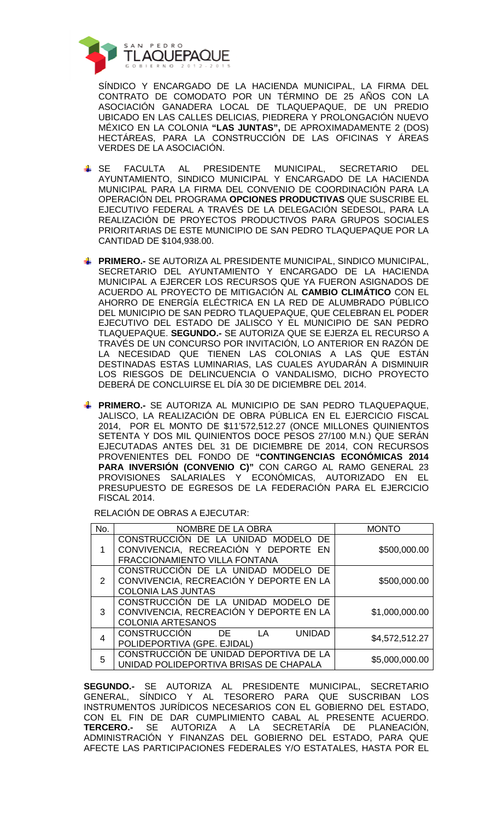

SÍNDICO Y ENCARGADO DE LA HACIENDA MUNICIPAL, LA FIRMA DEL CONTRATO DE COMODATO POR UN TÉRMINO DE 25 AÑOS CON LA ASOCIACIÓN GANADERA LOCAL DE TLAQUEPAQUE, DE UN PREDIO UBICADO EN LAS CALLES DELICIAS, PIEDRERA Y PROLONGACIÓN NUEVO MÉXICO EN LA COLONIA **"LAS JUNTAS",** DE APROXIMADAMENTE 2 (DOS) HECTÁREAS, PARA LA CONSTRUCCIÓN DE LAS OFICINAS Y ÁREAS VERDES DE LA ASOCIACIÓN.

- SE FACULTA AL PRESIDENTE MUNICIPAL, SECRETARIO DEL AYUNTAMIENTO, SINDICO MUNICIPAL Y ENCARGADO DE LA HACIENDA MUNICIPAL PARA LA FIRMA DEL CONVENIO DE COORDINACIÓN PARA LA OPERACIÓN DEL PROGRAMA **OPCIONES PRODUCTIVAS** QUE SUSCRIBE EL EJECUTIVO FEDERAL A TRAVÉS DE LA DELEGACIÓN SEDESOL, PARA LA REALIZACIÓN DE PROYECTOS PRODUCTIVOS PARA GRUPOS SOCIALES PRIORITARIAS DE ESTE MUNICIPIO DE SAN PEDRO TLAQUEPAQUE POR LA CANTIDAD DE \$104,938.00.
- **FRIMERO.-** SE AUTORIZA AL PRESIDENTE MUNICIPAL, SINDICO MUNICIPAL, SECRETARIO DEL AYUNTAMIENTO Y ENCARGADO DE LA HACIENDA MUNICIPAL A EJERCER LOS RECURSOS QUE YA FUERON ASIGNADOS DE ACUERDO AL PROYECTO DE MITIGACIÓN AL **CAMBIO CLIMÁTICO** CON EL AHORRO DE ENERGÍA ELÉCTRICA EN LA RED DE ALUMBRADO PÚBLICO DEL MUNICIPIO DE SAN PEDRO TLAQUEPAQUE, QUE CELEBRAN EL PODER EJECUTIVO DEL ESTADO DE JALISCO Y EL MUNICIPIO DE SAN PEDRO TLAQUEPAQUE. **SEGUNDO.-** SE AUTORIZA QUE SE EJERZA EL RECURSO A TRAVÉS DE UN CONCURSO POR INVITACIÓN, LO ANTERIOR EN RAZÓN DE LA NECESIDAD QUE TIENEN LAS COLONIAS A LAS QUE ESTÁN DESTINADAS ESTAS LUMINARIAS, LAS CUALES AYUDARÁN A DISMINUIR LOS RIESGOS DE DELINCUENCIA O VANDALISMO, DICHO PROYECTO DEBERÁ DE CONCLUIRSE EL DÍA 30 DE DICIEMBRE DEL 2014.
- **FRIMERO.-** SE AUTORIZA AL MUNICIPIO DE SAN PEDRO TLAQUEPAQUE, JALISCO, LA REALIZACIÓN DE OBRA PÚBLICA EN EL EJERCICIO FISCAL 2014, POR EL MONTO DE \$11'572,512.27 (ONCE MILLONES QUINIENTOS SETENTA Y DOS MIL QUINIENTOS DOCE PESOS 27/100 M.N.) QUE SERÁN EJECUTADAS ANTES DEL 31 DE DICIEMBRE DE 2014, CON RECURSOS PROVENIENTES DEL FONDO DE **"CONTINGENCIAS ECONÓMICAS 2014 PARA INVERSIÓN (CONVENIO C)"** CON CARGO AL RAMO GENERAL 23 PROVISIONES SALARIALES Y ECONÓMICAS, AUTORIZADO EN EL PRESUPUESTO DE EGRESOS DE LA FEDERACIÓN PARA EL EJERCICIO FISCAL 2014.

RELACIÓN DE OBRAS A EJECUTAR:

| No. | NOMBRE DE LA OBRA                                                                                            | <b>MONTO</b>   |
|-----|--------------------------------------------------------------------------------------------------------------|----------------|
|     | CONSTRUCCIÓN DE LA UNIDAD MODELO DE<br>CONVIVENCIA, RECREACIÓN Y DEPORTE EN<br>FRACCIONAMIENTO VILLA FONTANA | \$500,000.00   |
| 2   | CONSTRUCCIÓN DE LA UNIDAD MODELO DE<br>CONVIVENCIA, RECREACIÓN Y DEPORTE EN LA<br><b>COLONIA LAS JUNTAS</b>  | \$500,000.00   |
| 3   | CONSTRUCCIÓN DE LA UNIDAD MODELO DE<br>CONVIVENCIA, RECREACIÓN Y DEPORTE EN LA<br><b>COLONIA ARTESANOS</b>   | \$1,000,000.00 |
| 4   | <b>CONSTRUCCIÓN</b><br><b>UNIDAD</b><br>LA<br>DE.<br>POLIDEPORTIVA (GPE. EJIDAL)                             | \$4,572,512.27 |
| 5   | CONSTRUCCIÓN DE UNIDAD DEPORTIVA DE LA<br>UNIDAD POLIDEPORTIVA BRISAS DE CHAPALA                             | \$5,000,000.00 |

**SEGUNDO.-** SE AUTORIZA AL PRESIDENTE MUNICIPAL, SECRETARIO GENERAL, SÍNDICO Y AL TESORERO PARA QUE SUSCRIBAN LOS INSTRUMENTOS JURÍDICOS NECESARIOS CON EL GOBIERNO DEL ESTADO, CON EL FIN DE DAR CUMPLIMIENTO CABAL AL PRESENTE ACUERDO. **TERCERO.-** SE AUTORIZA A LA SECRETARÍA DE PLANEACIÓN, ADMINISTRACIÓN Y FINANZAS DEL GOBIERNO DEL ESTADO, PARA QUE AFECTE LAS PARTICIPACIONES FEDERALES Y/O ESTATALES, HASTA POR EL